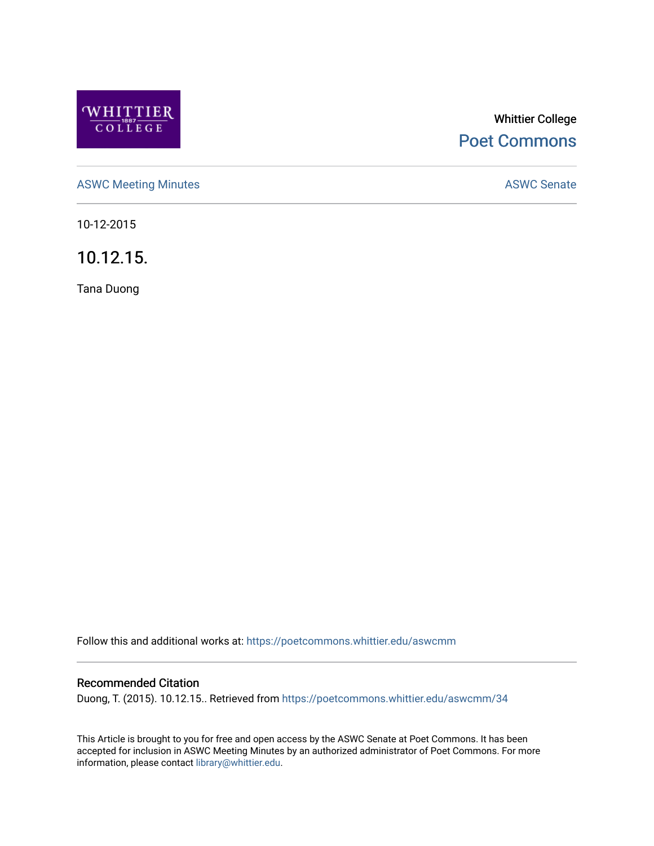

# Whittier College [Poet Commons](https://poetcommons.whittier.edu/)

[ASWC Meeting Minutes](https://poetcommons.whittier.edu/aswcmm) **ASWC Senate** 

10-12-2015

10.12.15.

Tana Duong

Follow this and additional works at: [https://poetcommons.whittier.edu/aswcmm](https://poetcommons.whittier.edu/aswcmm?utm_source=poetcommons.whittier.edu%2Faswcmm%2F34&utm_medium=PDF&utm_campaign=PDFCoverPages)

# Recommended Citation

Duong, T. (2015). 10.12.15.. Retrieved from [https://poetcommons.whittier.edu/aswcmm/34](https://poetcommons.whittier.edu/aswcmm/34?utm_source=poetcommons.whittier.edu%2Faswcmm%2F34&utm_medium=PDF&utm_campaign=PDFCoverPages) 

This Article is brought to you for free and open access by the ASWC Senate at Poet Commons. It has been accepted for inclusion in ASWC Meeting Minutes by an authorized administrator of Poet Commons. For more information, please contact [library@whittier.edu.](mailto:library@whittier.edu)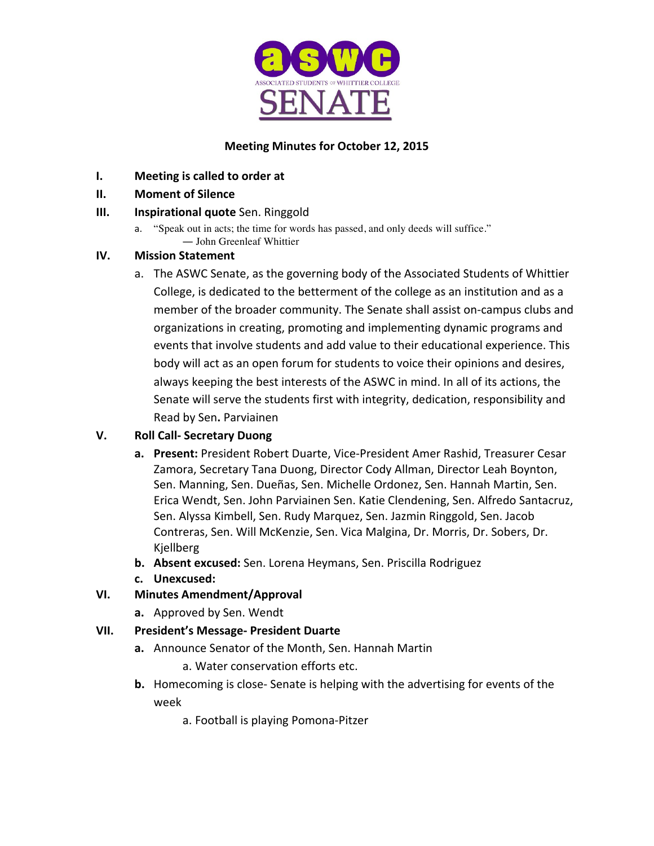

# **Meeting Minutes for October 12, 2015**

- **I.** Meeting is called to order at
- **II. Moment of Silence**

# **III. Inspirational quote** Sen. Ringgold

a. "Speak out in acts; the time for words has passed, and only deeds will suffice." ― John Greenleaf Whittier

# **IV. Mission Statement**

a. The ASWC Senate, as the governing body of the Associated Students of Whittier College, is dedicated to the betterment of the college as an institution and as a member of the broader community. The Senate shall assist on-campus clubs and organizations in creating, promoting and implementing dynamic programs and events that involve students and add value to their educational experience. This body will act as an open forum for students to voice their opinions and desires, always keeping the best interests of the ASWC in mind. In all of its actions, the Senate will serve the students first with integrity, dedication, responsibility and Read by Sen**.** Parviainen 

# **V. Roll Call- Secretary Duong**

- **a.** Present: President Robert Duarte, Vice-President Amer Rashid, Treasurer Cesar Zamora, Secretary Tana Duong, Director Cody Allman, Director Leah Boynton, Sen. Manning, Sen. Dueñas, Sen. Michelle Ordonez, Sen. Hannah Martin, Sen. Erica Wendt, Sen. John Parviainen Sen. Katie Clendening, Sen. Alfredo Santacruz, Sen. Alyssa Kimbell, Sen. Rudy Marquez, Sen. Jazmin Ringgold, Sen. Jacob Contreras, Sen. Will McKenzie, Sen. Vica Malgina, Dr. Morris, Dr. Sobers, Dr. Kjellberg
- **b.** Absent excused: Sen. Lorena Heymans, Sen. Priscilla Rodriguez
- **c. Unexcused:**

# **VI. Minutes Amendment/Approval**

**a.** Approved by Sen. Wendt

# **VII. President's Message- President Duarte**

**a.** Announce Senator of the Month, Sen. Hannah Martin

a. Water conservation efforts etc.

- **b.** Homecoming is close- Senate is helping with the advertising for events of the week
	- a. Football is playing Pomona-Pitzer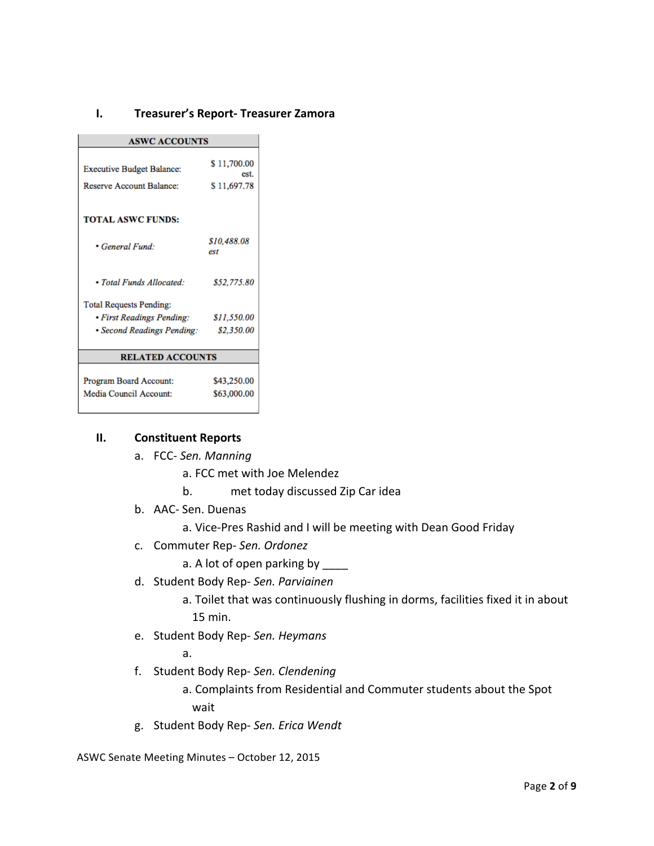### **I. Treasurer's Report- Treasurer Zamora**

| <b>ASWC ACCOUNTS</b>                                                |                                    |
|---------------------------------------------------------------------|------------------------------------|
| <b>Executive Budget Balance:</b><br><b>Reserve Account Balance:</b> | \$11,700.00<br>est.<br>\$11,697.78 |
| <b>TOTAL ASWC FUNDS:</b>                                            |                                    |
| • General Fund:                                                     | \$10,488.08<br>est                 |
| • Total Funds Allocated:                                            | \$52,775.80                        |
| <b>Total Requests Pending:</b>                                      |                                    |
| • First Readings Pending:                                           | \$11,550.00                        |
| • Second Readings Pending:                                          | \$2,350.00                         |
| <b>RELATED ACCOUNTS</b>                                             |                                    |
|                                                                     |                                    |
| Program Board Account:                                              | \$43,250.00                        |
| Media Council Account:                                              | \$63,000.00                        |

#### **II. Constituent Reports**

- a. FCC- *Sen. Manning*
	- a. FCC met with Joe Melendez
	- b. met today discussed Zip Car idea
- b. AAC- Sen. Duenas

a. Vice-Pres Rashid and I will be meeting with Dean Good Friday

c. Commuter Rep- *Sen. Ordonez* 

a. A lot of open parking by \_\_\_\_

d. Student Body Rep- *Sen. Parviainen*

a. Toilet that was continuously flushing in dorms, facilities fixed it in about 15 min. 

e. Student Body Rep- *Sen. Heymans*

a.

f. Student Body Rep- *Sen. Clendening*

a. Complaints from Residential and Commuter students about the Spot wait 

g. Student Body Rep- *Sen. Erica Wendt*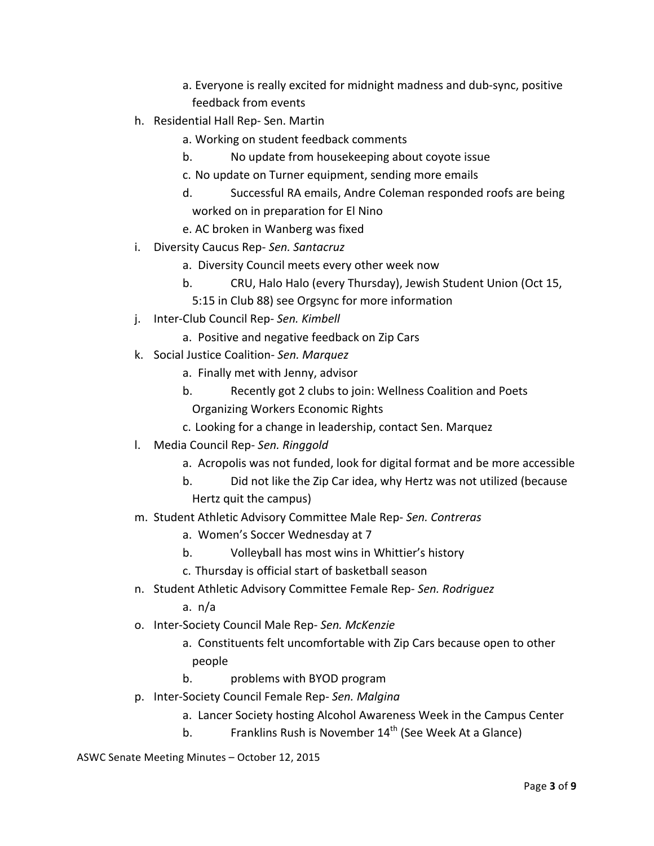- a. Everyone is really excited for midnight madness and dub-sync, positive feedback from events
- h. Residential Hall Rep- Sen. Martin
	- a. Working on student feedback comments
	- b. No update from housekeeping about coyote issue
	- c. No update on Turner equipment, sending more emails
	- d. Successful RA emails, Andre Coleman responded roofs are being worked on in preparation for El Nino
	- e. AC broken in Wanberg was fixed
- i. Diversity Caucus Rep- Sen. Santacruz
	- a. Diversity Council meets every other week now
	- b. CRU, Halo Halo (every Thursday), Jewish Student Union (Oct 15,
	- 5:15 in Club 88) see Orgsync for more information
- j. Inter-Club Council Rep- *Sen. Kimbell*
	- a. Positive and negative feedback on Zip Cars
- k. Social Justice Coalition- *Sen. Marquez*
	- a. Finally met with Jenny, advisor
	- b. Recently got 2 clubs to join: Wellness Coalition and Poets Organizing Workers Economic Rights
	- c. Looking for a change in leadership, contact Sen. Marquez
- **I.** Media Council Rep- Sen. Ringgold
	- a. Acropolis was not funded, look for digital format and be more accessible
	- b. Did not like the Zip Car idea, why Hertz was not utilized (because Hertz quit the campus)
- m. Student Athletic Advisory Committee Male Rep- *Sen. Contreras*
	- a. Women's Soccer Wednesday at 7
	- b. Volleyball has most wins in Whittier's history
	- c. Thursday is official start of basketball season
- n. Student Athletic Advisory Committee Female Rep- Sen. Rodriguez

a. n/a

- o. Inter-Society Council Male Rep- *Sen. McKenzie*
	- a. Constituents felt uncomfortable with Zip Cars because open to other people
	- b. problems with BYOD program
- p. Inter-Society Council Female Rep- *Sen. Malgina*
	- a. Lancer Society hosting Alcohol Awareness Week in the Campus Center
	- b. Franklins Rush is November  $14^{th}$  (See Week At a Glance)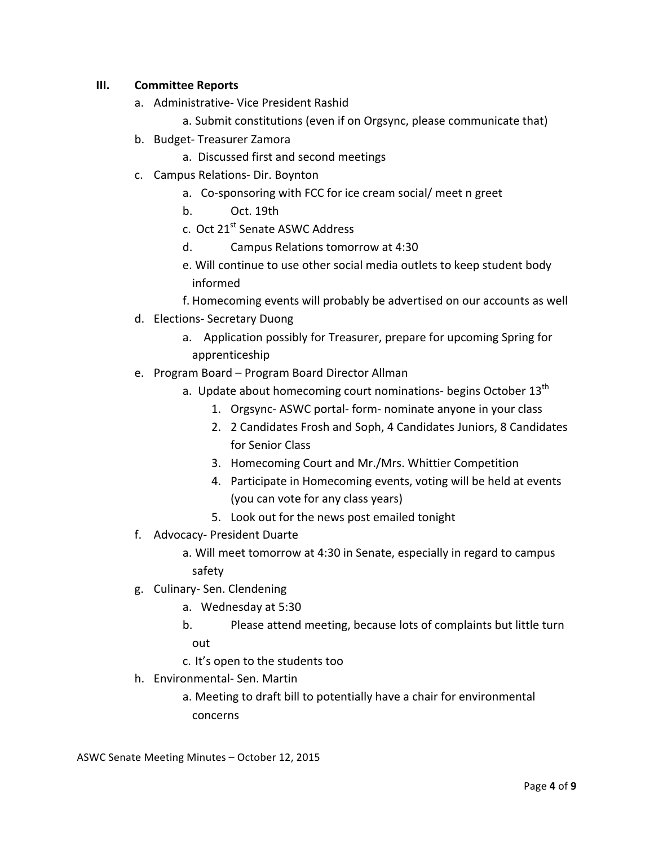### **III. Committee Reports**

- a. Administrative- Vice President Rashid
	- a. Submit constitutions (even if on Orgsync, please communicate that)
- b. Budget- Treasurer Zamora
	- a. Discussed first and second meetings
- c. Campus Relations- Dir. Boynton
	- a. Co-sponsoring with FCC for ice cream social/ meet n greet
	- b. Oct. 19th
	- c. Oct 21<sup>st</sup> Senate ASWC Address
	- d. Campus Relations tomorrow at 4:30
	- e. Will continue to use other social media outlets to keep student body informed
	- f. Homecoming events will probably be advertised on our accounts as well
- d. Elections- Secretary Duong
	- a. Application possibly for Treasurer, prepare for upcoming Spring for apprenticeship
- e. Program Board Program Board Director Allman
	- a. Update about homecoming court nominations- begins October  $13<sup>th</sup>$ 
		- 1. Orgsync- ASWC portal- form- nominate anyone in your class
		- 2. 2 Candidates Frosh and Soph, 4 Candidates Juniors, 8 Candidates for Senior Class
		- 3. Homecoming Court and Mr./Mrs. Whittier Competition
		- 4. Participate in Homecoming events, voting will be held at events (you can vote for any class years)
		- 5. Look out for the news post emailed tonight
- f. Advocacy- President Duarte
	- a. Will meet tomorrow at 4:30 in Senate, especially in regard to campus safety
- g. Culinary- Sen. Clendening
	- a. Wednesday at 5:30
	- b. Please attend meeting, because lots of complaints but little turn out
	- c. It's open to the students too
- h. Environmental- Sen. Martin
	- a. Meeting to draft bill to potentially have a chair for environmental concerns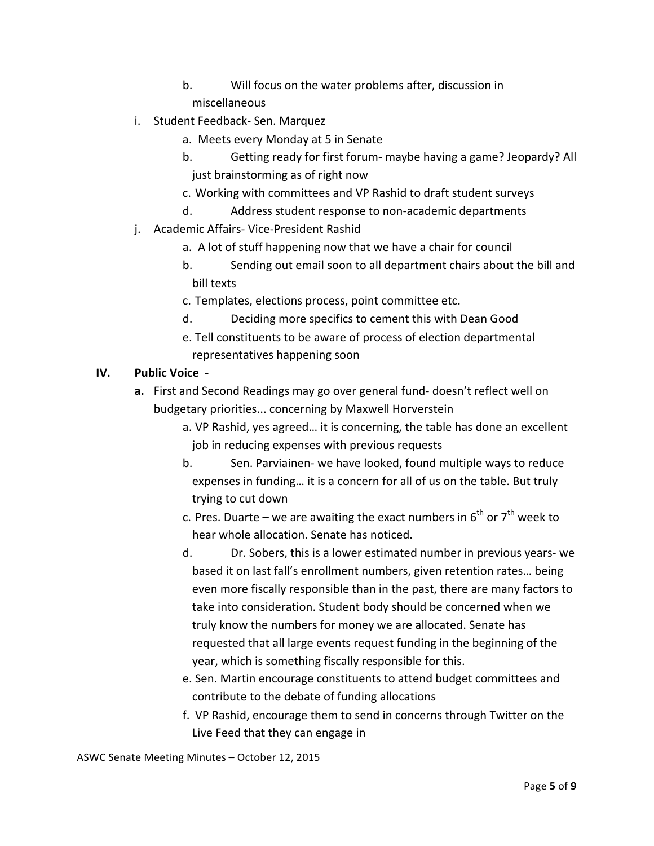- b. Will focus on the water problems after, discussion in miscellaneous
- 
- i. Student Feedback- Sen. Marquez
	- a. Meets every Monday at 5 in Senate
	- b. Getting ready for first forum- maybe having a game? Jeopardy? All just brainstorming as of right now
	- c. Working with committees and VP Rashid to draft student surveys
	- d. Address student response to non-academic departments
- j. Academic Affairs- Vice-President Rashid
	- a. A lot of stuff happening now that we have a chair for council
	- b. Sending out email soon to all department chairs about the bill and bill texts
	- c. Templates, elections process, point committee etc.
	- d. Deciding more specifics to cement this with Dean Good
	- e. Tell constituents to be aware of process of election departmental representatives happening soon

# **IV.** Public Voice -

- **a.** First and Second Readings may go over general fund- doesn't reflect well on budgetary priorities... concerning by Maxwell Horverstein
	- a. VP Rashid, yes agreed... it is concerning, the table has done an excellent job in reducing expenses with previous requests
	- b. Sen. Parviainen- we have looked, found multiple ways to reduce expenses in funding... it is a concern for all of us on the table. But truly trying to cut down
	- c. Pres. Duarte we are awaiting the exact numbers in  $6^{th}$  or  $7^{th}$  week to hear whole allocation. Senate has noticed.
	- d. Dr. Sobers, this is a lower estimated number in previous years- we based it on last fall's enrollment numbers, given retention rates... being even more fiscally responsible than in the past, there are many factors to take into consideration. Student body should be concerned when we truly know the numbers for money we are allocated. Senate has requested that all large events request funding in the beginning of the year, which is something fiscally responsible for this.
	- e. Sen. Martin encourage constituents to attend budget committees and contribute to the debate of funding allocations
	- f. VP Rashid, encourage them to send in concerns through Twitter on the Live Feed that they can engage in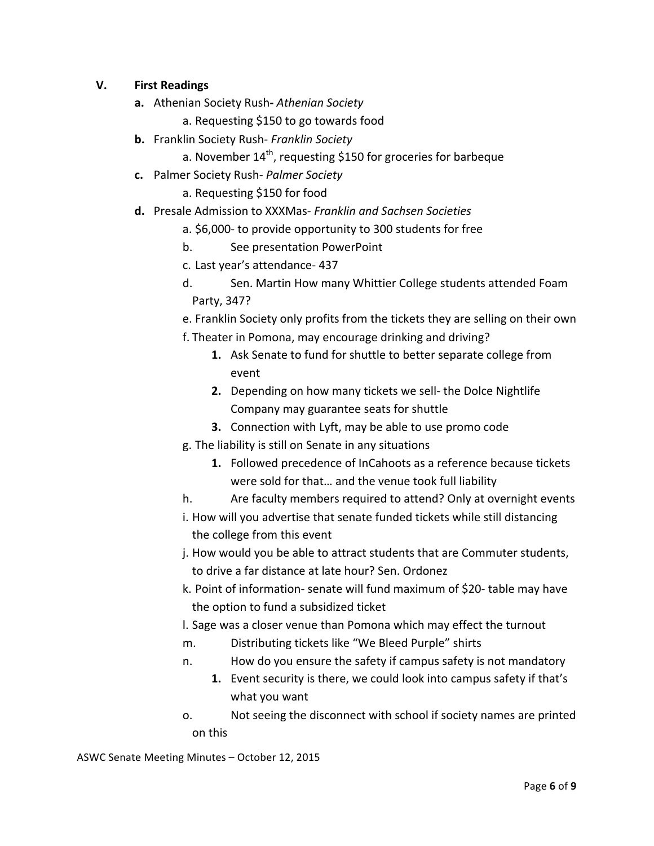# **V. First Readings**

- **a.** Athenian Society Rush-Athenian Society
	- a. Requesting \$150 to go towards food
- **b.** Franklin Society Rush- *Franklin Society* 
	- a. November  $14<sup>th</sup>$ , requesting \$150 for groceries for barbeque
- **c.** Palmer Society Rush- *Palmer Society* 
	- a. Requesting \$150 for food
- d. Presale Admission to XXXMas- *Franklin and Sachsen Societies* 
	- a. \$6,000- to provide opportunity to 300 students for free
	- b. See presentation PowerPoint
	- c. Last year's attendance- 437
	- d. Sen. Martin How many Whittier College students attended Foam Party, 347?
	- e. Franklin Society only profits from the tickets they are selling on their own
	- f. Theater in Pomona, may encourage drinking and driving?
		- **1.** Ask Senate to fund for shuttle to better separate college from event
		- **2.** Depending on how many tickets we sell- the Dolce Nightlife Company may guarantee seats for shuttle
		- **3.** Connection with Lyft, may be able to use promo code
	- g. The liability is still on Senate in any situations
		- **1.** Followed precedence of InCahoots as a reference because tickets were sold for that... and the venue took full liability
	- h. Are faculty members required to attend? Only at overnight events
	- i. How will you advertise that senate funded tickets while still distancing the college from this event
	- j. How would you be able to attract students that are Commuter students, to drive a far distance at late hour? Sen. Ordonez
	- k. Point of information- senate will fund maximum of \$20- table may have the option to fund a subsidized ticket
	- I. Sage was a closer venue than Pomona which may effect the turnout
	- m. Distributing tickets like "We Bleed Purple" shirts
	- n. How do you ensure the safety if campus safety is not mandatory
		- **1.** Event security is there, we could look into campus safety if that's what you want
	- o. Not seeing the disconnect with school if society names are printed on this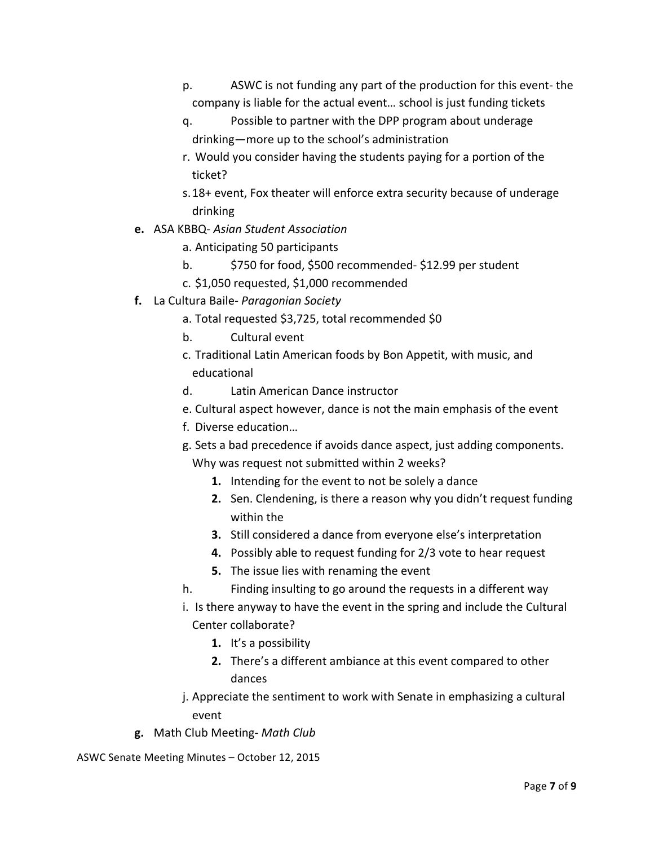- p. ASWC is not funding any part of the production for this event- the company is liable for the actual event... school is just funding tickets
- q. Possible to partner with the DPP program about underage drinking—more up to the school's administration
- r. Would you consider having the students paying for a portion of the ticket?
- s. 18+ event, Fox theater will enforce extra security because of underage drinking
- **e.** ASA KBBQ- *Asian Student Association* 
	- a. Anticipating 50 participants
	- b. \$750 for food, \$500 recommended- \$12.99 per student
	- c. \$1,050 requested, \$1,000 recommended
- **f.** La Cultura Baile- *Paragonian* Society
	- a. Total requested \$3,725, total recommended \$0
	- b. Cultural event
	- c. Traditional Latin American foods by Bon Appetit, with music, and educational
	- d. Latin American Dance instructor
	- e. Cultural aspect however, dance is not the main emphasis of the event
	- f. Diverse education...
	- g. Sets a bad precedence if avoids dance aspect, just adding components. Why was request not submitted within 2 weeks?
		- **1.** Intending for the event to not be solely a dance
		- **2.** Sen. Clendening, is there a reason why you didn't request funding within the
		- **3.** Still considered a dance from everyone else's interpretation
		- **4.** Possibly able to request funding for 2/3 vote to hear request
		- **5.** The issue lies with renaming the event
	- h. Finding insulting to go around the requests in a different way
	- i. Is there anyway to have the event in the spring and include the Cultural Center collaborate?
		- **1.** It's a possibility
		- **2.** There's a different ambiance at this event compared to other dances
	- j. Appreciate the sentiment to work with Senate in emphasizing a cultural event
- **g.** Math Club Meeting- *Math Club*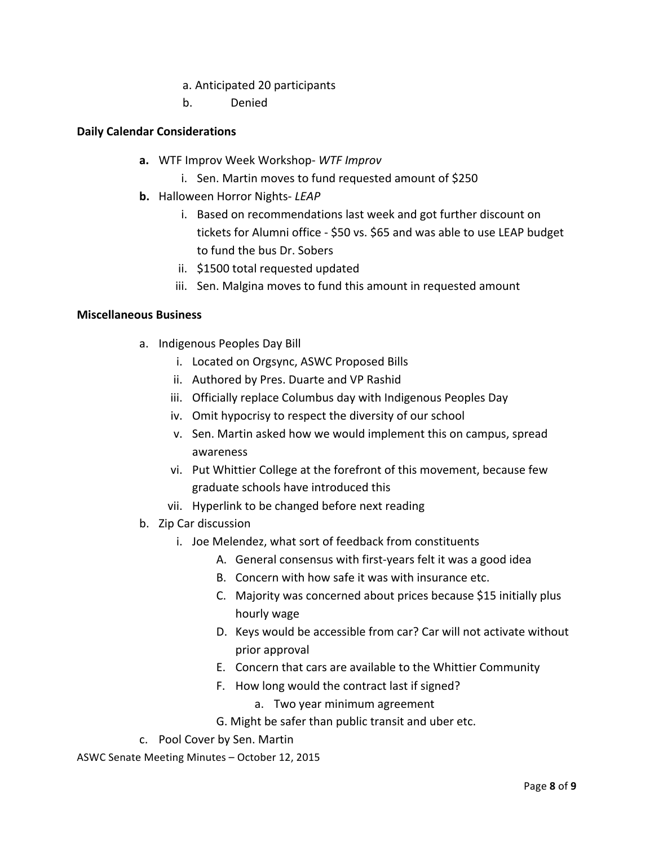## a. Anticipated 20 participants

b. Denied 

# **Daily Calendar Considerations**

- **a.** WTF Improv Week Workshop- WTF Improv
	- i. Sen. Martin moves to fund requested amount of \$250
- **b.** Halloween Horror Nights- *LEAP* 
	- i. Based on recommendations last week and got further discount on tickets for Alumni office - \$50 vs. \$65 and was able to use LEAP budget to fund the bus Dr. Sobers
	- ii. \$1500 total requested updated
	- iii. Sen. Malgina moves to fund this amount in requested amount

#### **Miscellaneous Business**

- a. Indigenous Peoples Day Bill
	- i. Located on Orgsync, ASWC Proposed Bills
	- ii. Authored by Pres. Duarte and VP Rashid
	- iii. Officially replace Columbus day with Indigenous Peoples Day
	- iv. Omit hypocrisy to respect the diversity of our school
	- v. Sen. Martin asked how we would implement this on campus, spread awareness
	- vi. Put Whittier College at the forefront of this movement, because few graduate schools have introduced this
	- vii. Hyperlink to be changed before next reading
- b. Zip Car discussion
	- i. Joe Melendez, what sort of feedback from constituents
		- A. General consensus with first-years felt it was a good idea
		- B. Concern with how safe it was with insurance etc.
		- C. Majority was concerned about prices because \$15 initially plus hourly wage
		- D. Keys would be accessible from car? Car will not activate without prior approval
		- E. Concern that cars are available to the Whittier Community
		- F. How long would the contract last if signed?
			- a. Two year minimum agreement
		- G. Might be safer than public transit and uber etc.
- c. Pool Cover by Sen. Martin